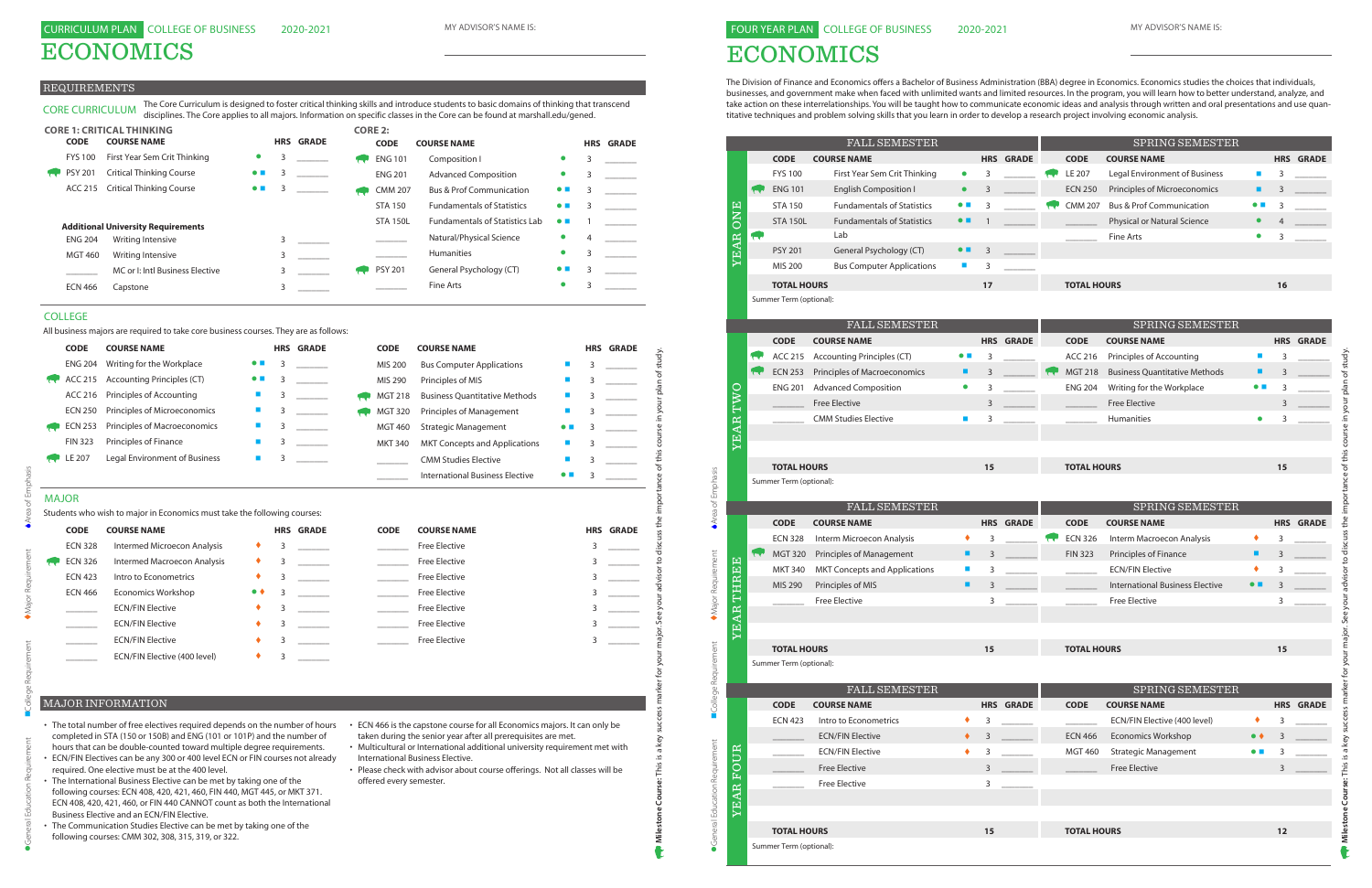ECONOMICS

#### REQUIREMENTS

|              | <b>ENG 204</b><br>ACC 215 |                                                                          |                         |   | <b>HRS GRADE</b> | <b>CODE</b>    | <b>COURSE NAME</b>                     |   |   | <b>HRS GRADE</b> |
|--------------|---------------------------|--------------------------------------------------------------------------|-------------------------|---|------------------|----------------|----------------------------------------|---|---|------------------|
|              |                           | Writing for the Workplace                                                |                         | 3 |                  | <b>MIS 200</b> | <b>Bus Computer Applications</b>       |   | 3 |                  |
|              |                           | <b>Accounting Principles (CT)</b>                                        | $\bullet\ \blacksquare$ | 3 |                  | MIS 290        | Principles of MIS                      |   | 3 |                  |
|              | ACC 216                   | Principles of Accounting                                                 | $\blacksquare$          | 3 |                  | <b>MGT 218</b> | <b>Business Quantitative Methods</b>   | ш | 3 |                  |
|              | <b>ECN 250</b>            | Principles of Microeconomics                                             | $\blacksquare$          | 3 |                  | <b>MGT 320</b> | <b>Principles of Management</b>        | П | 3 |                  |
|              | <b>ECN 253</b>            | Principles of Macroeconomics                                             | $\blacksquare$          | 3 |                  | <b>MGT 460</b> | <b>Strategic Management</b>            |   | З |                  |
|              | <b>FIN 323</b>            | Principles of Finance                                                    | П                       | 3 |                  | <b>MKT 340</b> | <b>MKT Concepts and Applications</b>   |   | 3 |                  |
| LE 207       |                           | Legal Environment of Business                                            | $\blacksquare$          | 3 |                  |                | <b>CMM Studies Elective</b>            |   | 3 |                  |
|              |                           |                                                                          |                         |   |                  |                | <b>International Business Elective</b> |   | 3 |                  |
| <b>MAJOR</b> |                           |                                                                          |                         |   |                  |                |                                        |   |   |                  |
|              |                           | Students who wish to major in Economics must take the following courses: |                         |   |                  |                |                                        |   |   |                  |
|              | <b>CODE</b>               | <b>COURSE NAME</b>                                                       |                         |   | <b>HRS GRADE</b> | <b>CODE</b>    | <b>COURSE NAME</b>                     |   |   | <b>HRS GRADE</b> |
|              | <b>ECN 328</b>            | <b>Intermed Microecon Analysis</b>                                       |                         | 3 |                  |                | <b>Free Elective</b>                   |   | 3 |                  |
|              | <b>ECN 326</b>            | <b>Intermed Macroecon Analysis</b>                                       | ٠                       | 3 |                  |                | <b>Free Elective</b>                   |   | 3 |                  |
|              | <b>ECN 423</b>            | Intro to Econometrics                                                    | ٠                       | 3 |                  |                | <b>Free Elective</b>                   |   | 3 |                  |
|              | <b>ECN 466</b>            | <b>Economics Workshop</b>                                                | $\bullet\; \bullet$     | 3 |                  |                | <b>Free Elective</b>                   |   | 3 |                  |
|              |                           | <b>ECN/FIN Elective</b>                                                  | ٠                       | 3 |                  |                | <b>Free Elective</b>                   |   | 3 |                  |
|              |                           | <b>ECN/FIN Elective</b>                                                  |                         | 3 |                  |                | <b>Free Elective</b>                   |   | 3 |                  |
|              |                           | <b>ECN/FIN Elective</b>                                                  |                         | 3 |                  |                | <b>Free Elective</b>                   |   | 3 |                  |
|              |                           | ECN/FIN Elective (400 level)                                             |                         | 3 |                  |                |                                        |   |   |                  |

# MAJOR

| <b>CODE</b>    | <b>COURSE NAME</b>           |                     |   | <b>HRS GRADE</b> | <b>CODE</b> | <b>COURSE NAME</b>   | <b>HRS GRADE</b> |
|----------------|------------------------------|---------------------|---|------------------|-------------|----------------------|------------------|
| <b>ECN 328</b> | Intermed Microecon Analysis  |                     | 3 |                  |             | <b>Free Elective</b> |                  |
| <b>ECN 326</b> | Intermed Macroecon Analysis  |                     |   |                  |             | <b>Free Elective</b> |                  |
| <b>ECN 423</b> | Intro to Econometrics        |                     |   |                  |             | <b>Free Elective</b> |                  |
| <b>ECN 466</b> | <b>Economics Workshop</b>    | $\bullet$ $\bullet$ |   |                  |             | <b>Free Elective</b> |                  |
|                | <b>ECN/FIN Elective</b>      |                     |   |                  |             | <b>Free Elective</b> |                  |
|                | <b>ECN/FIN Elective</b>      |                     |   |                  |             | <b>Free Elective</b> |                  |
|                | <b>ECN/FIN Elective</b>      |                     |   |                  |             | <b>Free Elective</b> |                  |
|                | ECN/FIN Elective (400 level) |                     |   |                  |             |                      |                  |

CORE CURRICULUM The Core Curriculum is designed to foster critical thinking skills and introduce students to basic domains of thinking that transcend disciplines. The Core applies to all majors. Information on specific classes in the Core can be found at marshall.edu/gened.

| <b>CORE 1: CRITICAL THINKING</b> |                |                                           |                          |   |                  | <b>CORE 2:</b> |                 |                                       |                          |   |                  |
|----------------------------------|----------------|-------------------------------------------|--------------------------|---|------------------|----------------|-----------------|---------------------------------------|--------------------------|---|------------------|
|                                  | <b>CODE</b>    | <b>COURSE NAME</b>                        |                          |   | <b>HRS GRADE</b> |                | <b>CODE</b>     | <b>COURSE NAME</b>                    |                          |   | <b>HRS GRADE</b> |
|                                  | <b>FYS 100</b> | First Year Sem Crit Thinking              | $\bullet$                | 3 |                  |                | <b>ENG 101</b>  | Composition I                         | $\bullet$                | 3 |                  |
|                                  | <b>PSY 201</b> | <b>Critical Thinking Course</b>           | $\bullet$ $\blacksquare$ | 3 |                  |                | <b>ENG 201</b>  | <b>Advanced Composition</b>           | $\bullet$                |   |                  |
|                                  |                | ACC 215 Critical Thinking Course          | $\bullet$ $\blacksquare$ |   |                  |                | <b>CMM 207</b>  | <b>Bus &amp; Prof Communication</b>   | $\bullet$ $\blacksquare$ |   |                  |
|                                  |                |                                           |                          |   |                  |                | <b>STA 150</b>  | <b>Fundamentals of Statistics</b>     | $\bullet$ $\blacksquare$ |   |                  |
|                                  |                | <b>Additional University Requirements</b> |                          |   |                  |                | <b>STA 150L</b> | <b>Fundamentals of Statistics Lab</b> | $\bullet$ $\blacksquare$ |   |                  |
|                                  | <b>ENG 204</b> | Writing Intensive                         |                          |   |                  |                |                 | Natural/Physical Science              | $\bullet$                | 4 |                  |
|                                  | <b>MGT 460</b> | Writing Intensive                         |                          | 3 |                  |                |                 | <b>Humanities</b>                     | $\bullet$                | 3 |                  |
|                                  |                | MC or I: Intl Business Elective           |                          |   |                  |                | <b>PSY 201</b>  | General Psychology (CT)               | $\bullet$ $\blacksquare$ | 3 |                  |
|                                  | <b>ECN 466</b> | Capstone                                  |                          |   |                  |                |                 | Fine Arts                             | $\bullet$                |   |                  |
|                                  |                |                                           |                          |   |                  |                |                 |                                       |                          |   |                  |

- The total number of free electives required depends on the number of hours completed in STA (150 or 150B) and ENG (101 or 101P) and the number of hours that can be double-counted toward multiple degree requirements.
- ECN/FIN Electives can be any 300 or 400 level ECN or FIN courses not already required. One elective must be at the 400 level.
- The International Business Elective can be met by taking one of the following courses: ECN 408, 420, 421, 460, FIN 440, MGT 445, or MKT 371. ECN 408, 420, 421, 460, or FIN 440 CANNOT count as both the International Business Elective and an ECN/FIN Elective.
- The Communication Studies Elective can be met by taking one of the following courses: CMM 302, 308, 315, 319, or 322.
- ECN 466 is the capstone course for all Economics majors. It can only be taken during the senior year after all prerequisites are met.
- Multicultural or International additional university requirement met with International Business Elective.
- Please check with advisor about course offerings. Not all classes will be offered every semester.

### MAJOR INFORMATION

#### COLLEGE

All business majors are required to take core business courses. They are as follows:

# ECONOMICS

The Division of Finance and Economics offers a Bachelor of Business Administration (BBA) degree in Economics. Economics studies the choices that individuals, businesses, and government make when faced with unlimited wants and limited resources. In the program, you will learn how to better understand, analyze, and take action on these interrelationships. You will be taught how to communicate economic ideas and analysis through written and oral presentations and use quantitative techniques and problem solving skills that you learn in order to develop a research project involving economic analysis.

|                               |                 |                    |                                               | <b>FALL SEMESTER</b>                       |                          |    |                  |                    | SPRING SEMESTER                        |                          |      |                  |
|-------------------------------|-----------------|--------------------|-----------------------------------------------|--------------------------------------------|--------------------------|----|------------------|--------------------|----------------------------------------|--------------------------|------|------------------|
|                               |                 |                    | <b>CODE</b>                                   | <b>COURSE NAME</b>                         |                          |    | <b>HRS GRADE</b> | <b>CODE</b>        | <b>COURSE NAME</b>                     |                          |      | <b>HRS GRADE</b> |
|                               |                 |                    | <b>FYS 100</b>                                | First Year Sem Crit Thinking               | $\bullet$                | 3  |                  | LE 207             | Legal Environment of Business          | ×                        | 3    |                  |
|                               |                 | <b>Color</b>       | <b>ENG 101</b>                                | <b>English Composition I</b>               | $\bullet$                | 3  |                  | <b>ECN 250</b>     | Principles of Microeconomics           | п                        | 3    |                  |
|                               |                 |                    | <b>STA 150</b>                                | <b>Fundamentals of Statistics</b>          | $\bullet$ $\blacksquare$ | 3  |                  | <b>CMM 207</b>     | <b>Bus &amp; Prof Communication</b>    | $\bullet$ $\blacksquare$ | 3    |                  |
|                               | ONE             |                    | <b>STA 150L</b>                               | <b>Fundamentals of Statistics</b>          | $\bullet\ \blacksquare$  |    |                  |                    | Physical or Natural Science            | $\bullet$                | 4    |                  |
|                               |                 |                    |                                               | Lab                                        |                          |    |                  |                    | Fine Arts                              | $\bullet$                | 3    |                  |
|                               | <b>YEAR</b>     |                    | <b>PSY 201</b>                                | General Psychology (CT)                    | $\bullet$ $\blacksquare$ | 3  |                  |                    |                                        |                          |      |                  |
|                               |                 |                    | MIS 200                                       | <b>Bus Computer Applications</b>           | <b>Si</b>                | 3  |                  |                    |                                        |                          |      |                  |
|                               |                 | <b>TOTAL HOURS</b> |                                               |                                            |                          | 17 |                  | <b>TOTAL HOURS</b> |                                        |                          | 16   |                  |
|                               |                 |                    | Summer Term (optional):                       |                                            |                          |    |                  |                    |                                        |                          |      |                  |
|                               |                 |                    |                                               | <b>FALL SEMESTER</b>                       |                          |    |                  |                    | SPRING SEMESTER                        |                          |      |                  |
|                               |                 |                    | <b>CODE</b>                                   | <b>COURSE NAME</b>                         |                          |    | <b>HRS GRADE</b> | <b>CODE</b>        | <b>COURSE NAME</b>                     |                          |      | <b>HRS GRADE</b> |
|                               |                 | रार                | ACC 215                                       | <b>Accounting Principles (CT)</b>          | $\bullet$ $\blacksquare$ | 3  |                  | ACC 216            | Principles of Accounting               | $\blacksquare$           | 3    |                  |
|                               |                 | रा                 | <b>ECN 253</b>                                | Principles of Macroeconomics               | ٠                        | 3  |                  | <b>MGT 218</b>     | <b>Business Quantitative Methods</b>   | п                        | 3    |                  |
|                               |                 |                    | <b>ENG 201</b>                                | <b>Advanced Composition</b>                | $\bullet$                | 3  |                  | <b>ENG 204</b>     | Writing for the Workplace              | $\bullet\ \blacksquare$  | 3    |                  |
|                               | TWO             |                    |                                               | <b>Free Elective</b>                       |                          | 3  |                  |                    | <b>Free Elective</b>                   |                          | 3    |                  |
|                               |                 |                    |                                               | <b>CMM Studies Elective</b>                | $\blacksquare$           | 3  |                  |                    | Humanities                             | $\bullet$                | 3    |                  |
|                               | YEAR            |                    |                                               |                                            |                          |    |                  |                    |                                        |                          |      |                  |
|                               |                 |                    |                                               |                                            |                          |    |                  |                    |                                        |                          |      |                  |
|                               |                 |                    | <b>TOTAL HOURS</b>                            |                                            |                          | 15 |                  | <b>TOTAL HOURS</b> |                                        |                          | 15   |                  |
|                               |                 |                    | Summer Term (optional):                       |                                            |                          |    |                  |                    |                                        |                          |      |                  |
| Area of Emphasis              |                 |                    |                                               |                                            |                          |    |                  |                    |                                        |                          |      |                  |
|                               |                 |                    | <b>CODE</b>                                   | <b>FALL SEMESTER</b><br><b>COURSE NAME</b> |                          |    | <b>HRS GRADE</b> | <b>CODE</b>        | SPRING SEMESTER<br><b>COURSE NAME</b>  |                          |      | <b>HRS GRADE</b> |
|                               |                 |                    | <b>ECN 328</b>                                | Interm Microecon Analysis                  | ٠                        | 3  |                  | <b>ECN 326</b>     | Interm Macroecon Analysis              | ٠                        | 3    |                  |
|                               |                 | <b>Telesist</b>    | <b>MGT 320</b>                                | Principles of Management                   | ٠                        | 3  |                  | <b>FIN 323</b>     | Principles of Finance                  | ٠                        | 3    |                  |
|                               |                 |                    | <b>MKT 340</b>                                | <b>MKT Concepts and Applications</b>       | п                        | 3  |                  |                    | <b>ECN/FIN Elective</b>                | ٠                        | 3    |                  |
|                               | THREE           |                    | MIS 290                                       | Principles of MIS                          | ٠                        | 3  |                  |                    | <b>International Business Elective</b> | $\bullet$ $\blacksquare$ | 3    |                  |
|                               |                 |                    |                                               | <b>Free Elective</b>                       |                          | 3  |                  |                    | <b>Free Elective</b>                   |                          | 3    |                  |
| Major Requirement             | <b>EAR</b>      |                    |                                               |                                            |                          |    |                  |                    |                                        |                          |      |                  |
|                               |                 |                    |                                               |                                            |                          |    |                  |                    |                                        |                          |      |                  |
|                               | ↣               |                    |                                               |                                            |                          |    |                  |                    |                                        |                          |      |                  |
|                               |                 |                    |                                               |                                            |                          | 15 |                  |                    |                                        |                          | 15   |                  |
|                               |                 |                    | <b>TOTAL HOURS</b><br>Summer Term (optional): |                                            |                          |    |                  | <b>TOTAL HOURS</b> |                                        |                          |      |                  |
|                               |                 |                    |                                               |                                            |                          |    |                  |                    |                                        |                          |      |                  |
|                               |                 |                    |                                               | <b>FALL SEMESTER</b>                       |                          |    |                  |                    | SPRING SEMESTER                        |                          |      |                  |
| College Requirement           |                 |                    | <b>CODE</b>                                   | <b>COURSE NAME</b>                         |                          |    | <b>HRS GRADE</b> | <b>CODE</b>        | <b>COURSE NAME</b>                     |                          |      | <b>HRS GRADE</b> |
|                               |                 |                    | <b>ECN 423</b>                                | Intro to Econometrics                      | ٠                        | 3  |                  |                    | ECN/FIN Elective (400 level)           | ٠                        | 3    |                  |
|                               |                 |                    |                                               | <b>ECN/FIN Elective</b>                    | ٠                        | 3  |                  | <b>ECN 466</b>     | <b>Economics Workshop</b>              | $\bullet \bullet$        | 3    |                  |
|                               |                 |                    |                                               | <b>ECN/FIN Elective</b>                    | ٠                        | 3  |                  | <b>MGT 460</b>     | <b>Strategic Management</b>            | $\bullet$ $\blacksquare$ | 3    |                  |
|                               | <b>OUR</b><br>ឝ |                    |                                               | <b>Free Elective</b>                       |                          | 3  |                  |                    | <b>Free Elective</b>                   |                          | 3    |                  |
|                               |                 |                    |                                               | <b>Free Elective</b>                       |                          | 3  |                  |                    |                                        |                          |      |                  |
|                               | <b>YEAR</b>     |                    |                                               |                                            |                          |    |                  |                    |                                        |                          |      |                  |
|                               |                 |                    |                                               |                                            |                          |    |                  |                    |                                        |                          |      |                  |
| General Education Requirement |                 |                    | <b>TOTAL HOURS</b><br>Summer Term (optional): |                                            |                          | 15 |                  | <b>TOTAL HOURS</b> |                                        |                          | $12$ |                  |